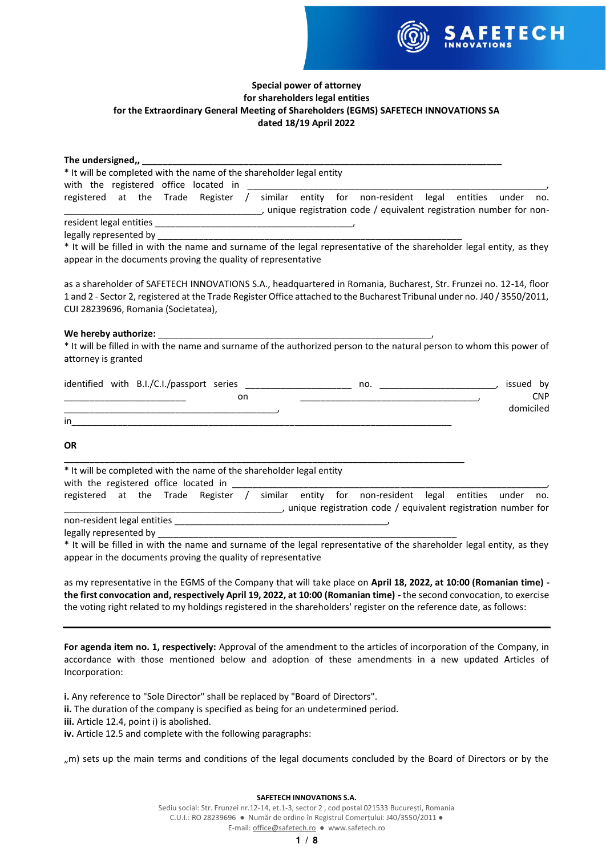

# **Special power of attorney for shareholders legal entities for the Extraordinary General Meeting of Shareholders (EGMS) SAFETECH INNOVATIONS SA dated 18/19 April 2022**

| The undersigned,, The understand and the understand and the union of the union of the union of the union of the union of the union of the union of the union of the union of the union of the union of the union of the union                                                                                                                                                                     |
|---------------------------------------------------------------------------------------------------------------------------------------------------------------------------------------------------------------------------------------------------------------------------------------------------------------------------------------------------------------------------------------------------|
| * It will be completed with the name of the shareholder legal entity                                                                                                                                                                                                                                                                                                                              |
| with the registered office located in $\frac{1}{\sqrt{1-\frac{1}{\sqrt{1-\frac{1}{\sqrt{1-\frac{1}{\sqrt{1-\frac{1}{\sqrt{1-\frac{1}{\sqrt{1-\frac{1}{\sqrt{1-\frac{1}{\sqrt{1-\frac{1}{\sqrt{1-\frac{1}{\sqrt{1-\frac{1}{\sqrt{1-\frac{1}{\sqrt{1-\frac{1}{\sqrt{1-\frac{1}{\sqrt{1-\frac{1}{\sqrt{1-\frac{1}{\sqrt{1-\frac{1}{\sqrt{1-\frac{1}{\sqrt{1-\frac{1}{\sqrt{1-\frac{1}{\sqrt{1-\frac$ |
| no.<br>unique registration code / equivalent registration number for non-                                                                                                                                                                                                                                                                                                                         |
|                                                                                                                                                                                                                                                                                                                                                                                                   |
|                                                                                                                                                                                                                                                                                                                                                                                                   |
| * It will be filled in with the name and surname of the legal representative of the shareholder legal entity, as they<br>appear in the documents proving the quality of representative                                                                                                                                                                                                            |
| as a shareholder of SAFETECH INNOVATIONS S.A., headquartered in Romania, Bucharest, Str. Frunzei no. 12-14, floor<br>1 and 2 - Sector 2, registered at the Trade Register Office attached to the Bucharest Tribunal under no. J40 / 3550/2011,<br>CUI 28239696, Romania (Societatea),                                                                                                             |
|                                                                                                                                                                                                                                                                                                                                                                                                   |
|                                                                                                                                                                                                                                                                                                                                                                                                   |
| attorney is granted                                                                                                                                                                                                                                                                                                                                                                               |
|                                                                                                                                                                                                                                                                                                                                                                                                   |
| issued by                                                                                                                                                                                                                                                                                                                                                                                         |
| <b>CNP</b><br>on                                                                                                                                                                                                                                                                                                                                                                                  |
| domiciled                                                                                                                                                                                                                                                                                                                                                                                         |
|                                                                                                                                                                                                                                                                                                                                                                                                   |
| <b>OR</b>                                                                                                                                                                                                                                                                                                                                                                                         |
| * It will be completed with the name of the shareholder legal entity                                                                                                                                                                                                                                                                                                                              |
| registered at the Trade Register / similar entity for non-resident legal entities under<br>no.<br>[16] unique registration code / equivalent registration number for surface and code / equivalent registration number for                                                                                                                                                                        |
|                                                                                                                                                                                                                                                                                                                                                                                                   |
|                                                                                                                                                                                                                                                                                                                                                                                                   |
| * It will be filled in with the name and surname of the legal representative of the shareholder legal entity, as they                                                                                                                                                                                                                                                                             |
| appear in the documents proving the quality of representative                                                                                                                                                                                                                                                                                                                                     |
| as my representative in the EGMS of the Company that will take place on April 18, 2022, at 10:00 (Romanian time)                                                                                                                                                                                                                                                                                  |

as my representative in the EGMS of the Company that will take place on **April 18, 2022, at 10:00 (Romanian time) the first convocation and, respectively April 19, 2022, at 10:00 (Romanian time) -** the second convocation, to exercise the voting right related to my holdings registered in the shareholders' register on the reference date, as follows:

**For agenda item no. 1, respectively:** Approval of the amendment to the articles of incorporation of the Company, in accordance with those mentioned below and adoption of these amendments in a new updated Articles of Incorporation:

**i.** Any reference to "Sole Director" shall be replaced by "Board of Directors".

- **ii.** The duration of the company is specified as being for an undetermined period.
- **iii.** Article 12.4, point i) is abolished.

**iv.** Article 12.5 and complete with the following paragraphs:

"m) sets up the main terms and conditions of the legal documents concluded by the Board of Directors or by the

**SAFETECH INNOVATIONS S.A.**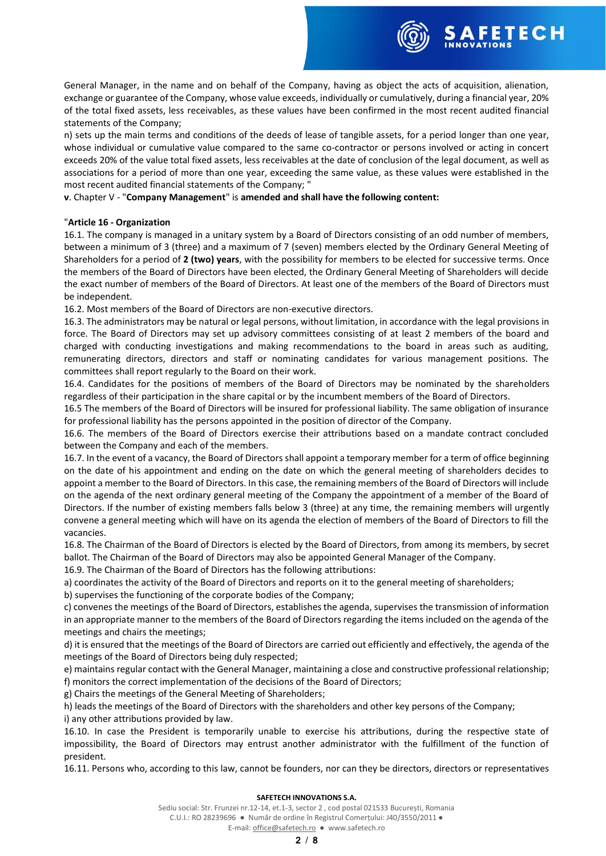

SAFETECH

n) sets up the main terms and conditions of the deeds of lease of tangible assets, for a period longer than one year, whose individual or cumulative value compared to the same co-contractor or persons involved or acting in concert exceeds 20% of the value total fixed assets, less receivables at the date of conclusion of the legal document, as well as associations for a period of more than one year, exceeding the same value, as these values were established in the most recent audited financial statements of the Company; "

# **v**. Chapter V - "**Company Management**" is **amended and shall have the following content:**

# "**Article 16 - Organization**

16.1. The company is managed in a unitary system by a Board of Directors consisting of an odd number of members, between a minimum of 3 (three) and a maximum of 7 (seven) members elected by the Ordinary General Meeting of Shareholders for a period of **2 (two) years**, with the possibility for members to be elected for successive terms. Once the members of the Board of Directors have been elected, the Ordinary General Meeting of Shareholders will decide the exact number of members of the Board of Directors. At least one of the members of the Board of Directors must be independent.

16.2. Most members of the Board of Directors are non-executive directors.

16.3. The administrators may be natural or legal persons, without limitation, in accordance with the legal provisions in force. The Board of Directors may set up advisory committees consisting of at least 2 members of the board and charged with conducting investigations and making recommendations to the board in areas such as auditing, remunerating directors, directors and staff or nominating candidates for various management positions. The committees shall report regularly to the Board on their work.

16.4. Candidates for the positions of members of the Board of Directors may be nominated by the shareholders regardless of their participation in the share capital or by the incumbent members of the Board of Directors.

16.5 The members of the Board of Directors will be insured for professional liability. The same obligation of insurance for professional liability has the persons appointed in the position of director of the Company.

16.6. The members of the Board of Directors exercise their attributions based on a mandate contract concluded between the Company and each of the members.

16.7. In the event of a vacancy, the Board of Directors shall appoint a temporary member for a term of office beginning on the date of his appointment and ending on the date on which the general meeting of shareholders decides to appoint a member to the Board of Directors. In this case, the remaining members of the Board of Directors will include on the agenda of the next ordinary general meeting of the Company the appointment of a member of the Board of Directors. If the number of existing members falls below 3 (three) at any time, the remaining members will urgently convene a general meeting which will have on its agenda the election of members of the Board of Directors to fill the vacancies.

16.8. The Chairman of the Board of Directors is elected by the Board of Directors, from among its members, by secret ballot. The Chairman of the Board of Directors may also be appointed General Manager of the Company.

16.9. The Chairman of the Board of Directors has the following attributions:

a) coordinates the activity of the Board of Directors and reports on it to the general meeting of shareholders;

b) supervises the functioning of the corporate bodies of the Company;

c) convenes the meetings of the Board of Directors, establishes the agenda, supervises the transmission of information in an appropriate manner to the members of the Board of Directors regarding the items included on the agenda of the meetings and chairs the meetings;

d) it is ensured that the meetings of the Board of Directors are carried out efficiently and effectively, the agenda of the meetings of the Board of Directors being duly respected;

e) maintains regular contact with the General Manager, maintaining a close and constructive professional relationship; f) monitors the correct implementation of the decisions of the Board of Directors;

g) Chairs the meetings of the General Meeting of Shareholders;

h) leads the meetings of the Board of Directors with the shareholders and other key persons of the Company; i) any other attributions provided by law.

16.10. In case the President is temporarily unable to exercise his attributions, during the respective state of impossibility, the Board of Directors may entrust another administrator with the fulfillment of the function of president.

16.11. Persons who, according to this law, cannot be founders, nor can they be directors, directors or representatives

## **SAFETECH INNOVATIONS S.A.**

Sediu social: Str. Frunzei nr.12-14, et.1-3, sector 2 , cod postal 021533 București, Romania C.U.I.: RO 28239696 ● Număr de ordine în Registrul Comerțului: J40/3550/2011 ● E-mail[: office@safetech.ro](mailto:office@safetech.ro) ● www.safetech.ro

# **2** / **8**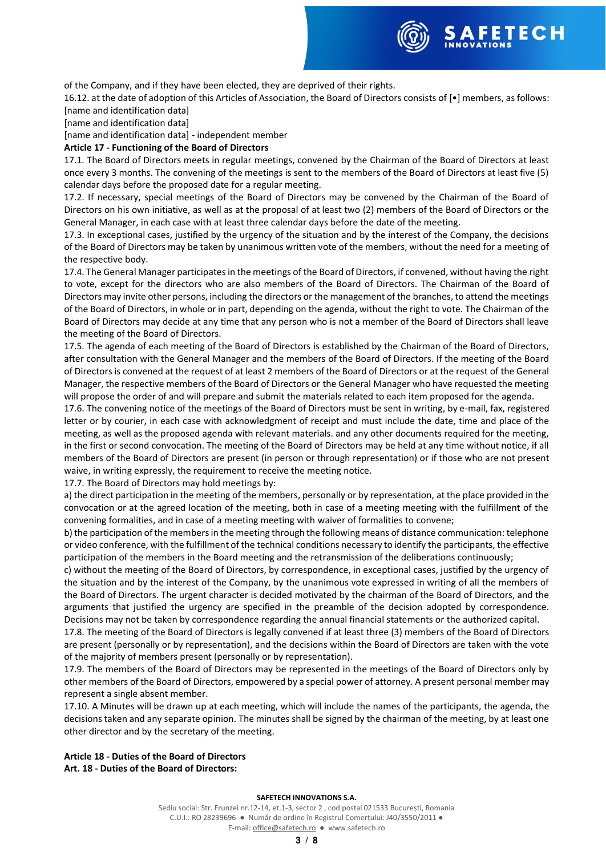

of the Company, and if they have been elected, they are deprived of their rights.

16.12. at the date of adoption of this Articles of Association, the Board of Directors consists of [•] members, as follows: [name and identification data]

[name and identification data]

[name and identification data] - independent member

# **Article 17 - Functioning of the Board of Directors**

17.1. The Board of Directors meets in regular meetings, convened by the Chairman of the Board of Directors at least once every 3 months. The convening of the meetings is sent to the members of the Board of Directors at least five (5) calendar days before the proposed date for a regular meeting.

17.2. If necessary, special meetings of the Board of Directors may be convened by the Chairman of the Board of Directors on his own initiative, as well as at the proposal of at least two (2) members of the Board of Directors or the General Manager, in each case with at least three calendar days before the date of the meeting.

17.3. In exceptional cases, justified by the urgency of the situation and by the interest of the Company, the decisions of the Board of Directors may be taken by unanimous written vote of the members, without the need for a meeting of the respective body.

17.4. The General Manager participates in the meetings of the Board of Directors, if convened, without having the right to vote, except for the directors who are also members of the Board of Directors. The Chairman of the Board of Directors may invite other persons, including the directors or the management of the branches, to attend the meetings of the Board of Directors, in whole or in part, depending on the agenda, without the right to vote. The Chairman of the Board of Directors may decide at any time that any person who is not a member of the Board of Directors shall leave the meeting of the Board of Directors.

17.5. The agenda of each meeting of the Board of Directors is established by the Chairman of the Board of Directors, after consultation with the General Manager and the members of the Board of Directors. If the meeting of the Board of Directors is convened at the request of at least 2 members of the Board of Directors or at the request of the General Manager, the respective members of the Board of Directors or the General Manager who have requested the meeting will propose the order of and will prepare and submit the materials related to each item proposed for the agenda.

17.6. The convening notice of the meetings of the Board of Directors must be sent in writing, by e-mail, fax, registered letter or by courier, in each case with acknowledgment of receipt and must include the date, time and place of the meeting, as well as the proposed agenda with relevant materials. and any other documents required for the meeting, in the first or second convocation. The meeting of the Board of Directors may be held at any time without notice, if all members of the Board of Directors are present (in person or through representation) or if those who are not present waive, in writing expressly, the requirement to receive the meeting notice.

17.7. The Board of Directors may hold meetings by:

a) the direct participation in the meeting of the members, personally or by representation, at the place provided in the convocation or at the agreed location of the meeting, both in case of a meeting meeting with the fulfillment of the convening formalities, and in case of a meeting meeting with waiver of formalities to convene;

b) the participation of the members in the meeting through the following means of distance communication: telephone or video conference, with the fulfillment of the technical conditions necessary to identify the participants, the effective participation of the members in the Board meeting and the retransmission of the deliberations continuously;

c) without the meeting of the Board of Directors, by correspondence, in exceptional cases, justified by the urgency of the situation and by the interest of the Company, by the unanimous vote expressed in writing of all the members of the Board of Directors. The urgent character is decided motivated by the chairman of the Board of Directors, and the arguments that justified the urgency are specified in the preamble of the decision adopted by correspondence. Decisions may not be taken by correspondence regarding the annual financial statements or the authorized capital.

17.8. The meeting of the Board of Directors is legally convened if at least three (3) members of the Board of Directors are present (personally or by representation), and the decisions within the Board of Directors are taken with the vote of the majority of members present (personally or by representation).

17.9. The members of the Board of Directors may be represented in the meetings of the Board of Directors only by other members of the Board of Directors, empowered by a special power of attorney. A present personal member may represent a single absent member.

17.10. A Minutes will be drawn up at each meeting, which will include the names of the participants, the agenda, the decisions taken and any separate opinion. The minutes shall be signed by the chairman of the meeting, by at least one other director and by the secretary of the meeting.

# **Article 18 - Duties of the Board of Directors Art. 18 - Duties of the Board of Directors:**

### **SAFETECH INNOVATIONS S.A.**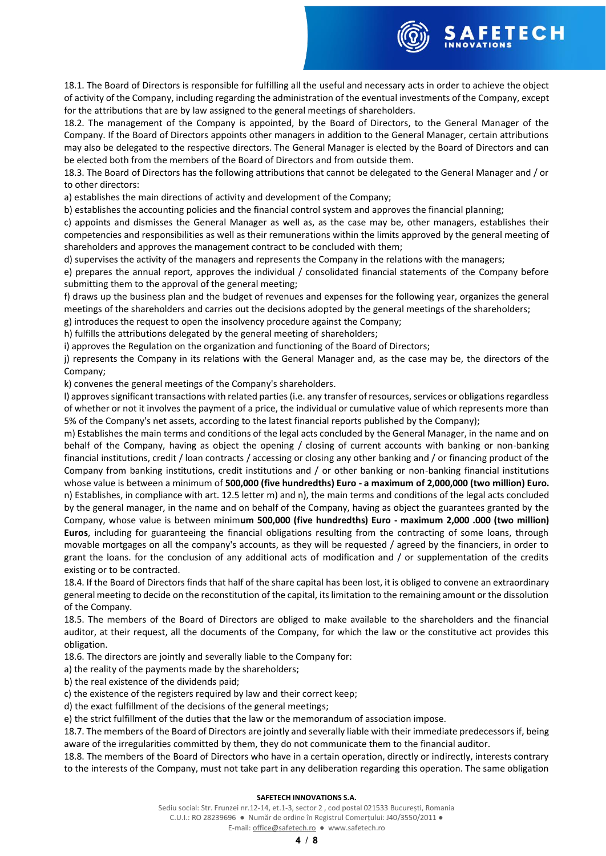

SAFETECH

18.2. The management of the Company is appointed, by the Board of Directors, to the General Manager of the Company. If the Board of Directors appoints other managers in addition to the General Manager, certain attributions may also be delegated to the respective directors. The General Manager is elected by the Board of Directors and can be elected both from the members of the Board of Directors and from outside them.

18.3. The Board of Directors has the following attributions that cannot be delegated to the General Manager and / or to other directors:

a) establishes the main directions of activity and development of the Company;

b) establishes the accounting policies and the financial control system and approves the financial planning;

c) appoints and dismisses the General Manager as well as, as the case may be, other managers, establishes their competencies and responsibilities as well as their remunerations within the limits approved by the general meeting of shareholders and approves the management contract to be concluded with them;

d) supervises the activity of the managers and represents the Company in the relations with the managers;

e) prepares the annual report, approves the individual / consolidated financial statements of the Company before submitting them to the approval of the general meeting;

f) draws up the business plan and the budget of revenues and expenses for the following year, organizes the general meetings of the shareholders and carries out the decisions adopted by the general meetings of the shareholders;

g) introduces the request to open the insolvency procedure against the Company;

h) fulfills the attributions delegated by the general meeting of shareholders;

i) approves the Regulation on the organization and functioning of the Board of Directors;

j) represents the Company in its relations with the General Manager and, as the case may be, the directors of the Company;

k) convenes the general meetings of the Company's shareholders.

l) approves significant transactions with related parties (i.e. any transfer of resources, services or obligations regardless of whether or not it involves the payment of a price, the individual or cumulative value of which represents more than 5% of the Company's net assets, according to the latest financial reports published by the Company);

m) Establishes the main terms and conditions of the legal acts concluded by the General Manager, in the name and on behalf of the Company, having as object the opening / closing of current accounts with banking or non-banking financial institutions, credit / loan contracts / accessing or closing any other banking and / or financing product of the Company from banking institutions, credit institutions and / or other banking or non-banking financial institutions whose value is between a minimum of **500,000 (five hundredths) Euro - a maximum of 2,000,000 (two million) Euro.** n) Establishes, in compliance with art. 12.5 letter m) and n), the main terms and conditions of the legal acts concluded by the general manager, in the name and on behalf of the Company, having as object the guarantees granted by the Company, whose value is between minim**um 500,000 (five hundredths) Euro - maximum 2,000 .000 (two million) Euros**, including for guaranteeing the financial obligations resulting from the contracting of some loans, through movable mortgages on all the company's accounts, as they will be requested / agreed by the financiers, in order to grant the loans. for the conclusion of any additional acts of modification and / or supplementation of the credits existing or to be contracted.

18.4. If the Board of Directors finds that half of the share capital has been lost, it is obliged to convene an extraordinary general meeting to decide on the reconstitution of the capital, its limitation to the remaining amount or the dissolution of the Company.

18.5. The members of the Board of Directors are obliged to make available to the shareholders and the financial auditor, at their request, all the documents of the Company, for which the law or the constitutive act provides this obligation.

18.6. The directors are jointly and severally liable to the Company for:

a) the reality of the payments made by the shareholders;

b) the real existence of the dividends paid;

c) the existence of the registers required by law and their correct keep;

d) the exact fulfillment of the decisions of the general meetings;

e) the strict fulfillment of the duties that the law or the memorandum of association impose.

18.7. The members of the Board of Directors are jointly and severally liable with their immediate predecessors if, being aware of the irregularities committed by them, they do not communicate them to the financial auditor.

18.8. The members of the Board of Directors who have in a certain operation, directly or indirectly, interests contrary to the interests of the Company, must not take part in any deliberation regarding this operation. The same obligation

### **SAFETECH INNOVATIONS S.A.**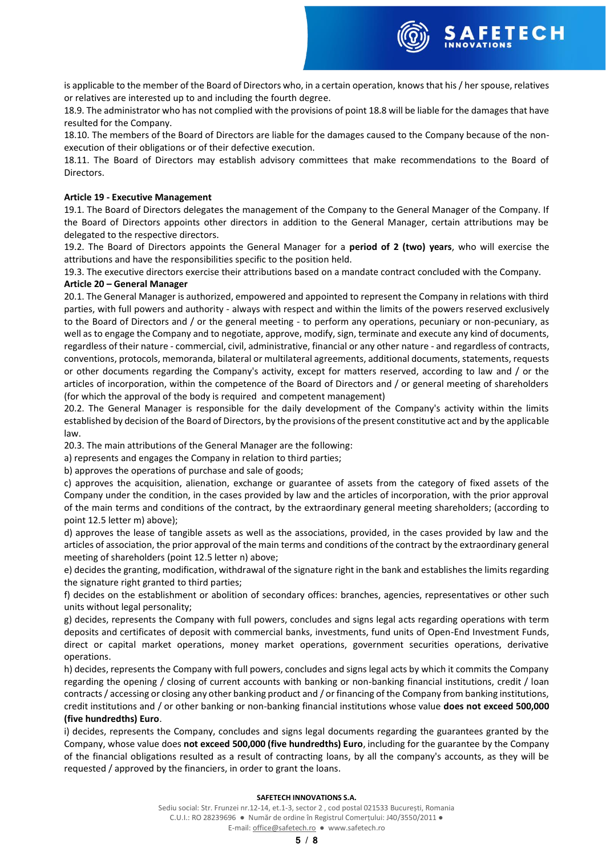is applicable to the member of the Board of Directors who, in a certain operation, knows that his / her spouse, relatives or relatives are interested up to and including the fourth degree.

SAFETECH

18.9. The administrator who has not complied with the provisions of point 18.8 will be liable for the damages that have resulted for the Company.

18.10. The members of the Board of Directors are liable for the damages caused to the Company because of the nonexecution of their obligations or of their defective execution.

18.11. The Board of Directors may establish advisory committees that make recommendations to the Board of Directors.

## **Article 19 - Executive Management**

19.1. The Board of Directors delegates the management of the Company to the General Manager of the Company. If the Board of Directors appoints other directors in addition to the General Manager, certain attributions may be delegated to the respective directors.

19.2. The Board of Directors appoints the General Manager for a **period of 2 (two) years**, who will exercise the attributions and have the responsibilities specific to the position held.

19.3. The executive directors exercise their attributions based on a mandate contract concluded with the Company.

# **Article 20 – General Manager**

20.1. The General Manager is authorized, empowered and appointed to represent the Company in relations with third parties, with full powers and authority - always with respect and within the limits of the powers reserved exclusively to the Board of Directors and / or the general meeting - to perform any operations, pecuniary or non-pecuniary, as well as to engage the Company and to negotiate, approve, modify, sign, terminate and execute any kind of documents, regardless of their nature - commercial, civil, administrative, financial or any other nature - and regardless of contracts, conventions, protocols, memoranda, bilateral or multilateral agreements, additional documents, statements, requests or other documents regarding the Company's activity, except for matters reserved, according to law and / or the articles of incorporation, within the competence of the Board of Directors and / or general meeting of shareholders (for which the approval of the body is required and competent management)

20.2. The General Manager is responsible for the daily development of the Company's activity within the limits established by decision of the Board of Directors, by the provisions of the present constitutive act and by the applicable law.

20.3. The main attributions of the General Manager are the following:

a) represents and engages the Company in relation to third parties;

b) approves the operations of purchase and sale of goods;

c) approves the acquisition, alienation, exchange or guarantee of assets from the category of fixed assets of the Company under the condition, in the cases provided by law and the articles of incorporation, with the prior approval of the main terms and conditions of the contract, by the extraordinary general meeting shareholders; (according to point 12.5 letter m) above);

d) approves the lease of tangible assets as well as the associations, provided, in the cases provided by law and the articles of association, the prior approval of the main terms and conditions of the contract by the extraordinary general meeting of shareholders (point 12.5 letter n) above;

e) decides the granting, modification, withdrawal of the signature right in the bank and establishes the limits regarding the signature right granted to third parties;

f) decides on the establishment or abolition of secondary offices: branches, agencies, representatives or other such units without legal personality;

g) decides, represents the Company with full powers, concludes and signs legal acts regarding operations with term deposits and certificates of deposit with commercial banks, investments, fund units of Open-End Investment Funds, direct or capital market operations, money market operations, government securities operations, derivative operations.

h) decides, represents the Company with full powers, concludes and signs legal acts by which it commits the Company regarding the opening / closing of current accounts with banking or non-banking financial institutions, credit / loan contracts / accessing or closing any other banking product and / or financing of the Company from banking institutions, credit institutions and / or other banking or non-banking financial institutions whose value **does not exceed 500,000 (five hundredths) Euro**.

i) decides, represents the Company, concludes and signs legal documents regarding the guarantees granted by the Company, whose value does **not exceed 500,000 (five hundredths) Euro**, including for the guarantee by the Company of the financial obligations resulted as a result of contracting loans, by all the company's accounts, as they will be requested / approved by the financiers, in order to grant the loans.

#### **SAFETECH INNOVATIONS S.A.**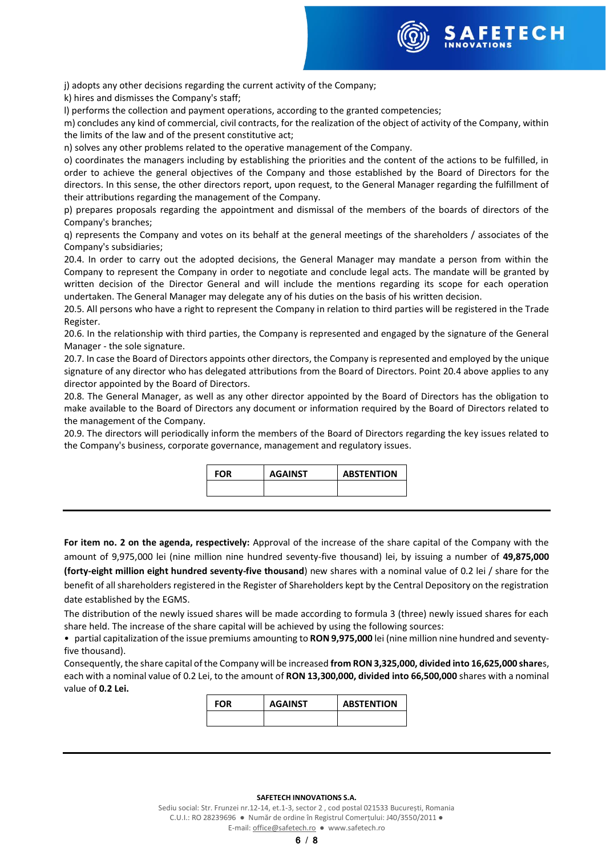

j) adopts any other decisions regarding the current activity of the Company;

k) hires and dismisses the Company's staff;

l) performs the collection and payment operations, according to the granted competencies;

m) concludes any kind of commercial, civil contracts, for the realization of the object of activity of the Company, within the limits of the law and of the present constitutive act;

n) solves any other problems related to the operative management of the Company.

o) coordinates the managers including by establishing the priorities and the content of the actions to be fulfilled, in order to achieve the general objectives of the Company and those established by the Board of Directors for the directors. In this sense, the other directors report, upon request, to the General Manager regarding the fulfillment of their attributions regarding the management of the Company.

p) prepares proposals regarding the appointment and dismissal of the members of the boards of directors of the Company's branches;

q) represents the Company and votes on its behalf at the general meetings of the shareholders / associates of the Company's subsidiaries;

20.4. In order to carry out the adopted decisions, the General Manager may mandate a person from within the Company to represent the Company in order to negotiate and conclude legal acts. The mandate will be granted by written decision of the Director General and will include the mentions regarding its scope for each operation undertaken. The General Manager may delegate any of his duties on the basis of his written decision.

20.5. All persons who have a right to represent the Company in relation to third parties will be registered in the Trade Register.

20.6. In the relationship with third parties, the Company is represented and engaged by the signature of the General Manager - the sole signature.

20.7. In case the Board of Directors appoints other directors, the Company is represented and employed by the unique signature of any director who has delegated attributions from the Board of Directors. Point 20.4 above applies to any director appointed by the Board of Directors.

20.8. The General Manager, as well as any other director appointed by the Board of Directors has the obligation to make available to the Board of Directors any document or information required by the Board of Directors related to the management of the Company.

20.9. The directors will periodically inform the members of the Board of Directors regarding the key issues related to the Company's business, corporate governance, management and regulatory issues.

| FOR | <b>AGAINST</b> | <b>ABSTENTION</b> |
|-----|----------------|-------------------|
|     |                |                   |

**For item no. 2 on the agenda, respectively:** Approval of the increase of the share capital of the Company with the amount of 9,975,000 lei (nine million nine hundred seventy-five thousand) lei, by issuing a number of **49,875,000 (forty-eight million eight hundred seventy-five thousand**) new shares with a nominal value of 0.2 lei / share for the benefit of all shareholders registered in the Register of Shareholders kept by the Central Depository on the registration date established by the EGMS.

The distribution of the newly issued shares will be made according to formula 3 (three) newly issued shares for each share held. The increase of the share capital will be achieved by using the following sources:

• partial capitalization of the issue premiums amounting to **RON 9,975,000** lei (nine million nine hundred and seventyfive thousand).

Consequently, the share capital of the Company will be increased **from RON 3,325,000, divided into 16,625,000 share**s, each with a nominal value of 0.2 Lei, to the amount of **RON 13,300,000, divided into 66,500,000** shares with a nominal value of **0.2 Lei.**

| <b>FOR</b> | <b>AGAINST</b> | <b>ABSTENTION</b> |
|------------|----------------|-------------------|
|            |                |                   |

### **SAFETECH INNOVATIONS S.A.**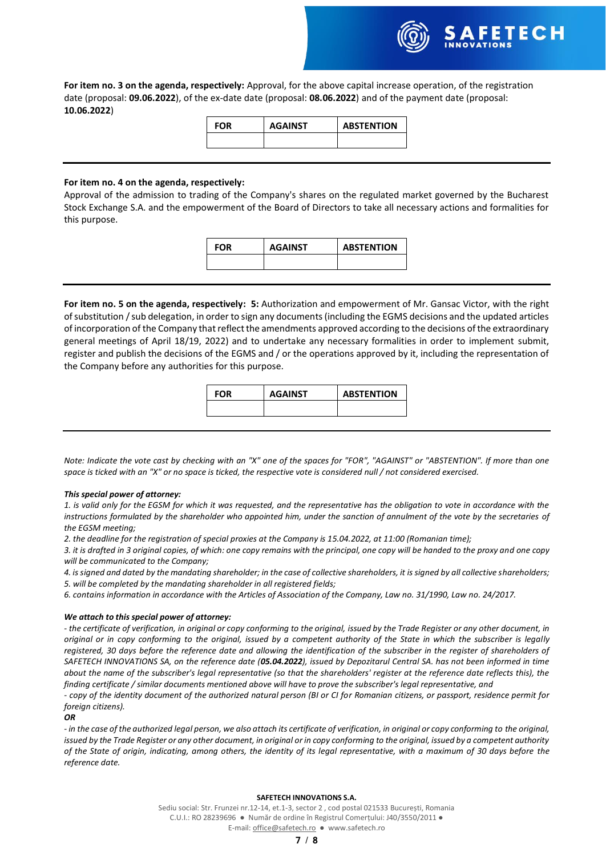**For item no. 3 on the agenda, respectively:** Approval, for the above capital increase operation, of the registration date (proposal: **09.06.2022**), of the ex-date date (proposal: **08.06.2022**) and of the payment date (proposal: **10.06.2022**)

| <b>FOR</b> | <b>AGAINST</b> | <b>ABSTENTION</b> |
|------------|----------------|-------------------|
|            |                |                   |

## **For item no. 4 on the agenda, respectively:**

Approval of the admission to trading of the Company's shares on the regulated market governed by the Bucharest Stock Exchange S.A. and the empowerment of the Board of Directors to take all necessary actions and formalities for this purpose.

| FOR | <b>AGAINST</b> | <b>ABSTENTION</b> |
|-----|----------------|-------------------|
|     |                |                   |

**For item no. 5 on the agenda, respectively: 5:** Authorization and empowerment of Mr. Gansac Victor, with the right of substitution / sub delegation, in order to sign any documents (including the EGMS decisions and the updated articles of incorporation of the Company that reflect the amendments approved according to the decisions of the extraordinary general meetings of April 18/19, 2022) and to undertake any necessary formalities in order to implement submit, register and publish the decisions of the EGMS and / or the operations approved by it, including the representation of the Company before any authorities for this purpose.

| <b>FOR</b> | <b>AGAINST</b> | <b>ABSTENTION</b> |
|------------|----------------|-------------------|
|            |                |                   |

*Note: Indicate the vote cast by checking with an "X" one of the spaces for "FOR", "AGAINST" or "ABSTENTION". If more than one space is ticked with an "X" or no space is ticked, the respective vote is considered null / not considered exercised.*

#### *This special power of attorney:*

*1. is valid only for the EGSM for which it was requested, and the representative has the obligation to vote in accordance with the instructions formulated by the shareholder who appointed him, under the sanction of annulment of the vote by the secretaries of the EGSM meeting;*

*2. the deadline for the registration of special proxies at the Company is 15.04.2022, at 11:00 (Romanian time);*

*3. it is drafted in 3 original copies, of which: one copy remains with the principal, one copy will be handed to the proxy and one copy will be communicated to the Company;*

*4. is signed and dated by the mandating shareholder; in the case of collective shareholders, it is signed by all collective shareholders; 5. will be completed by the mandating shareholder in all registered fields;*

*6. contains information in accordance with the Articles of Association of the Company, Law no. 31/1990, Law no. 24/2017.*

### *We attach to this special power of attorney:*

*- the certificate of verification, in original or copy conforming to the original, issued by the Trade Register or any other document, in original or in copy conforming to the original, issued by a competent authority of the State in which the subscriber is legally*  registered, 30 days before the reference date and allowing the identification of the subscriber in the register of shareholders of *SAFETECH INNOVATIONS SA, on the reference date (05.04.2022), issued by Depozitarul Central SA. has not been informed in time about the name of the subscriber's legal representative (so that the shareholders' register at the reference date reflects this), the finding certificate / similar documents mentioned above will have to prove the subscriber's legal representative, and*

*- copy of the identity document of the authorized natural person (BI or CI for Romanian citizens, or passport, residence permit for foreign citizens).*

### *OR*

*- in the case of the authorized legal person, we also attach its certificate of verification, in original or copy conforming to the original, issued by the Trade Register or any other document, in original or in copy conforming to the original, issued by a competent authority of the State of origin, indicating, among others, the identity of its legal representative, with a maximum of 30 days before the reference date.*

#### **SAFETECH INNOVATIONS S.A.**